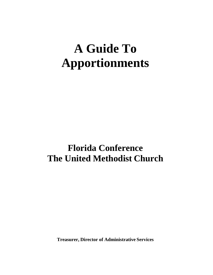# **A Guide To Apportionments**

# **Florida Conference The United Methodist Church**

**Treasurer, Director of Administrative Services**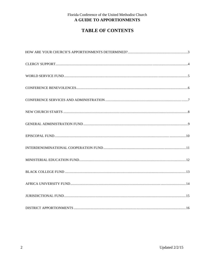# **TABLE OF CONTENTS**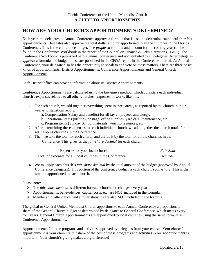# **HOW ARE YOUR CHURCH'S APPORTIONMENTS DETERMINED?**

Each year, the delegates to Annual Conference approve a formula that is used to determine each local church's apportionments. Delegates also approve the total dollar amount apportioned to all the churches in the Florida Conference. This is the conference budget. The *proposed* formula and amount for the coming year can be found in the Conference Workbook in the report of the Council on Finance & Administration (CF&A). The Conference Workbook is published before annual conference and is distributed to all delegates. After delegates *approve* a formula and budget, these are published in the CF&A report in the Conference Journal. At Annual Conference, your delegate also has the opportunity to speak to and vote on these matters. There are three basic kinds of apportionments: District Apportionments, Conference Apportionments and General Church Apportionments.

Each District office can provide information about its District Apportionments.

Conference Apportionments are calculated using the *fair-share* method, which considers each individual church's expenses relative to all other churches' expenses. It works like this:

- 1. For each church, we add together everything spent in three areas, as reported by the church in their year-end statistical report:
	- a. Compensation (salary and benefits) for all lay employees and clergy,
	- b.Operational items (utilities, postage, office supplies, yard care, maintenance, etc.)
	- c. Program items (Sunday School materials, worship resources, etc.)
- 2. After determining these expenses for each individual church, we add together the church totals for all 700-plus churches in the Conference.
- 3. Then we take the total for each church and divide it by the total for all the churches in the Conference. This gives us the *fair-share decimal* for each church.

| Expenses for your local church                             |  | <i>Fair-Share</i> |
|------------------------------------------------------------|--|-------------------|
| Total of expenses for all local churches in the Conference |  | <i>Decimal</i>    |

4. We multiply each church's *fair-share decimal* by the total amount of the budget (approved by Annual Conference delegates). This portion of the conference budget is each church's *fair-share*. This is the amount apportioned to each church.

#### Please note:

- The *fair-share decimal* is different for each church and changes every year.
- Apportionments, benevolences, capital costs, etc. are NOT included in the formula.
- $\triangleright$  Membership, attendance, and similar statistics are also NOT included in the formula.

The global or General United Methodist Church apportions to each Annual Conference a proportionate share of the General Church budget as determined by delegates to General Conference, which meets every four years. General Church Apportionments are apportioned to local churches using the same formula as Conference Apportionments.

Apportionments fund the programs and activities approved by delegates from your church. Your church's apportionment is your church's fair share of the cost of these programs and activities. Your apportionment is important! Your church's giving makes a big difference!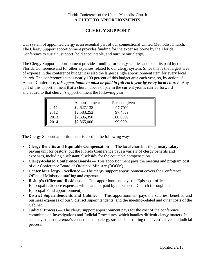# **CLERGY SUPPORT**

Our system of appointed clergy is an essential part of our connectional United Methodist Church. The Clergy Support apportionment provides funding for the expenses borne by the Florida Conference to sustain, support, hold accountable, and nurture our clergy.

The Clergy Support apportionment provides funding for clergy salaries and benefits paid by the Florida Conference and for other expenses related to our clergy system. Since this is the largest area of expense in the conference budget it is also the largest single apportionment item for every local church. The conference spends nearly 100 percent of this budget area each year, so, by action of Annual Conference, *this apportionment must be paid in full each year by every local church*. Any part of this apportionment that a church does not pay in the current year is carried forward and added to that church's apportionment the following year.

| 2014 | 2011<br>2012<br>2013 | Apportionment<br>\$2,627,138<br>\$2,583,252<br>\$2,695,350<br>\$2,865,000 | Percent given<br>97.70%<br>97.45%<br>100.00%<br>99.99% |  |
|------|----------------------|---------------------------------------------------------------------------|--------------------------------------------------------|--|
|------|----------------------|---------------------------------------------------------------------------|--------------------------------------------------------|--|

The Clergy Support apportionment is used in the following ways.

- **Clergy Benefits and Equitable Compensation —** The local church is the primary salarypaying unit for pastors, but the Florida Conference pays a variety of clergy benefits and expenses, including a substantial subsidy for the equitable compensation.
- **Clergy-Related Conference Boards —** This apportionment pays the meeting and program cost of our Conference Board of Ordained Ministry (BOOM) .
- **Center for Clergy Excellence** The clergy support apportionment covers the Conference Office of Ministry's staffing and expenses.
- **Bishop's Office and Residence —** This apportionment pays the Episcopal office and Episcopal residence expenses which are not paid by the General Church (through the Episcopal Fund apportionment).
- **District Superintendents and Cabinet —** This apportionment pays the salaries, benefits, and business expenses of our 9 district superintendents; and the meeting-related and other costs of the Cabinet.
- **Judicial Process** The clergy support apportionment pays for the cost of the conference committee on Investigations and Judicial Procedures, which handles difficult clergy matters. It also pays the conference's costs related to clergy suspensions during the investigative and judicial process.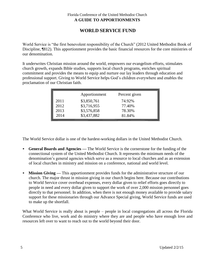# **WORLD SERVICE FUND**

World Service is "the first benevolent responsibility of the Church" (2012 United Methodist Book of Discipline, ¶812). This apportionment provides the basic financial resources for the core ministries of our denomination.

It underwrites Christian mission around the world, empowers our evangelism efforts, stimulates church growth, expands Bible studies, supports local church programs, enriches spiritual commitment and provides the means to equip and nurture our lay leaders through education and professional support. Giving to World Service helps God's children everywhere and enables the proclamation of our Christian faith.

|      | Apportionment | Percent given |  |
|------|---------------|---------------|--|
| 2011 | \$3,850,761   | 74.92%        |  |
| 2012 | \$3,716,955   | 77.40%        |  |
| 2013 | \$3,576,858   | 78.30%        |  |
| 2014 | \$3,437,882   | 81.84%        |  |

The World Service dollar is one of the hardest-working dollars in the United Methodist Church.

- **General Boards and Agencies —** The World Service is the cornerstone for the funding of the connectional system of the United Methodist Church. It represents the minimum needs of the denomination's general agencies which serve as a resource to local churches and as an extension of local churches in ministry and mission on a conference, national and world level.
- **Mission Giving —** This apportionment provides funds for the administrative structure of our church. The major thrust in mission giving in our church begins here. Because our contributions to World Service cover overhead expenses, every dollar given to relief efforts goes directly to people in need and every dollar given to support the work of over 2,000 mission personnel goes directly to that personnel. In addition, when there is not enough money available to provide salary support for these missionaries through our Advance Special giving, World Service funds are used to make up the shortfall.

What World Service is really about is people – people in local congregations all across the Florida Conference who live, work and do ministry where they are and people who have enough love and resources left over to want to reach out to the world beyond their door.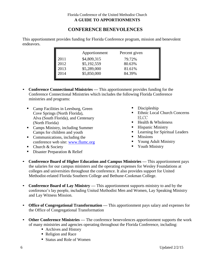# **CONFERENCE BENEVOLENCES**

This apportionment provides funding for Florida Conference program, mission and benevolent endeavors.

|      | Apportionment | Percent given |  |
|------|---------------|---------------|--|
| 2011 | \$4,809,315   | 79.72%        |  |
| 2012 | \$5,192,559   | 80.63%        |  |
| 2013 | \$5,289,000   | 81.61%        |  |
| 2014 | \$5,850,000   | 84.39%        |  |
|      |               |               |  |

- **Conference Connectional Ministries —** This apportionment provides funding for the Conference Connectional Ministries which includes the following Florida Conference ministries and programs:
	- Camp Facilities in Leesburg, Green Cove Springs (North Florida), Alva (South Florida), and Centenary (North Florida)
	- Camps Ministry, including Summer Camps for children and youth
	- Communications, including the conference web site: [www.flumc.org](http://www.flumc.org/)
	- $\blacksquare$  Church & Society
	- **Disaster Preparation & Relief**
- Discipleship
- Ethnic Local Church Concerns ELCC
- $\blacksquare$  Health & Wholeness
- **Hispanic Ministry**
- **Learning for Spiritual Leaders**
- **Missions**
- Young Adult Ministry
- Vouth Ministry
- **Conference Board of Higher Education and Campus Ministries —** This apportionment pays the salaries for our campus ministers and the operating expenses for Wesley Foundations at colleges and universities throughout the conference. It also provides support for United Methodist-related Florida Southern College and Bethune-Cookman College.
- **Conference Board of Lay Ministry —** This apportionment supports ministry to and by the conference's lay people, including United Methodist Men and Women, Lay Speaking Ministry and Lay Witness Mission.
- Office of Congregational Transformation This apportionment pays salary and expenses for the Office of Congregational Transformation
- **Other Conference Ministries —** The conference benevolences apportionment supports the work of many ministries and agencies operating throughout the Florida Conference, including:
	- Archives and History
	- Religion and Race
	- Status and Role of Women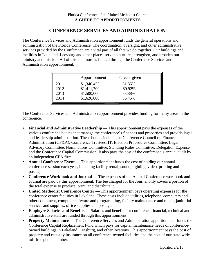# **CONFERENCE SERVICES AND ADMINISTRATION**

The Conference Services and Administration apportionment funds the general operations and administration of the Florida Conference. The coordination, oversight, and other administrative services provided by the Conference are a vital part of all that we do together. Our buildings and facilities in Lakeland, Leesburg and other places serve to nurture, strengthen, and broaden our ministry and mission. All of this and more is funded through the Conference Services and Administration apportionment.

|      | Apportionment | Percent given |  |
|------|---------------|---------------|--|
| 2011 | \$1,346,455   | 81.35%        |  |
| 2012 | \$1,411,700   | 80.92%        |  |
| 2013 | \$1,500,000   | 83.88%        |  |
| 2014 | \$1,626,000   | 86.45%        |  |

The Conference Services and Administration apportionment provides funding for many areas in the conference.

- **Financial and Administrative Leadership —** This apportionment pays the expenses of the various conference bodies that manage the conference's finances and properties and provide legal and leadership administration. These bodies include the Conference Council on Finance and Administration (CF&A), Conference Trustees, IT, Election Procedures Committee, Legal Advisory Committee, Nominations Committee, Standing Rules Committee, Delegation Expense, and the Conference Capital Commission. It also pays the cost of the conference's annual audit by an independent CPA firm.
- **Annual Conference Event —** This apportionment funds the cost of holding our annual conference session each year, including facility rental, sound, lighting, video, printing and postage.
- **Conference Workbook and Journal —** The expenses of the Annual Conference workbook and Journal are paid by this apportionment. The fee charged for the Journal only covers a portion of the total expense to produce, print, and distribute it.
- **United Methodist Conference Center —** This apportionment pays operating expenses for the conference center facilities in Lakeland. These costs include utilities, telephone, computers and other equipment, computer software and programming, facility maintenance and repair, janitorial services and supplies, office supplies and postage.
- **Employee Salaries and Benefits —** Salaries and benefits for conference financial, technical and administrative staff are funded through this apportionment.
- **Property Maintenance —** The Conference Services and Administration apportionment funds the Conference Capital Replacement Fund which pays for capital maintenance needs of conferenceowned buildings in Lakeland, Leesburg, and other locations. This apportionment pays the cost of property and casualty insurance on all conference-owned facilities and the cost of our state-wide, toll-free phone number.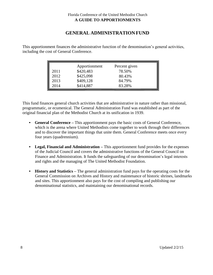# **GENERAL ADMINISTRATION FUND**

This apportionment finances the administrative function of the denomination's general activities, including the cost of General Conference.

| 2011<br>2012 | Apportionment<br>\$420,483<br>\$425,098 | Percent given<br>78.50%<br>80.43% |  |
|--------------|-----------------------------------------|-----------------------------------|--|
| 2013         | \$409,128                               | 84.79%                            |  |
| 2014         | \$414,887                               | 83.28%                            |  |

This fund finances general church activities that are administrative in nature rather than missional, programmatic, or ecumenical. The General Administration Fund was established as part of the original financial plan of the Methodist Church at its unification in 1939.

- **General Conference –** This apportionment pays the basic costs of General Conference, which is the arena where United Methodists come together to work through their differences and to discover the important things that unite them. General Conference meets once every four years (quadrennium).
- **Legal, Financial and Administration –** This apportionment fund provides for the expenses of the Judicial Council and covers the administrative functions of the General Council on Finance and Administration. It funds the safeguarding of our denomination's legal interests and rights and the managing of The United Methodist Foundation.
- **History and Statistics** The general administration fund pays for the operating costs for the General Commission on Archives and History and maintenance of historic shrines, landmarks and sites. This apportionment also pays for the cost of compiling and publishing our denominational statistics, and maintaining our denominational records.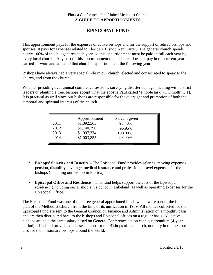# **EPISCOPAL FUND**

This apportionment pays for the expenses of active bishops and for the support of retired bishops and spouses. It pays for expenses related to Florida's Bishop Ken Carter. The general church spends nearly 100% of this budget area each year, so this apportionment must be paid in full each year by every local church. Any part of this apportionment that a church does not pay in the current year is carried forward and added to that church's apportionment the following year.

Bishops have always had a very special role in our church, elected and consecrated to speak to the church, and from the church.

Whether presiding over annual conference sessions, surveying disaster damage, meeting with district leaders or planting a tree, bishops accept what the apostle Paul called "a noble task" (1 Timothy 3:1). It is practical as well since our bishops are responsible for the oversight and promotion of both the temporal and spiritual interests of the church.

|  | 2011<br>2012<br>2013<br>2014 | Apportionment<br>\$1,092,563<br>\$1,140,790<br>\$997,334<br>\$1,003,855 | Percent given<br>96.40%<br>96.95%<br>100.00%<br>98.90% |  |
|--|------------------------------|-------------------------------------------------------------------------|--------------------------------------------------------|--|
|--|------------------------------|-------------------------------------------------------------------------|--------------------------------------------------------|--|

- **Bishops' Salaries and Benefits –** The Episcopal Fund provides salaries, moving expenses, pension, disability coverage, medical insurance and professional travel expenses for the bishops (including our bishop in Florida).
- **Episcopal Office and Residence –** This fund helps support the cost of the Episcopal residence (including our Bishop's residence in Lakeland) as well as operating expenses for the Episcopal Office.

The Episcopal Fund was one of the three general apportioned funds which were part of the financial plan of the Methodist Church from the time of its unification in 1939. All monies collected for the Episcopal Fund are sent to the General Council on Finance and Administration on a monthly basis and are then distributed back to the bishops and Episcopal offices on a regular basis. All active bishops are paid the same salary based on General Conference action each quadrennium (4-year period). This fund provides the base support for the Bishops of the church, not only in the US, but also for the missionary bishops around the world.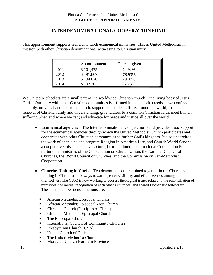### **INTERDENOMINATIONAL COOPERATION FUND**

This apportionment supports General Church ecumenical ministries. This is United Methodism in mission with other Christian denominations, witnessing to Christian unity.

|      | Apportionment | Percent given |  |
|------|---------------|---------------|--|
| 2011 | \$101,475     | 74.92%        |  |
| 2012 | 97,807        | 78.93%        |  |
| 2013 | 94,820        | 79.02%        |  |
| 2014 | 92,262        | 82.23%        |  |

We United Methodists are a small part of the worldwide Christian church – the living body of Jesus Christ. Our unity with other Christian communities is affirmed in the historic creeds as we confess one holy, universal and apostolic church; support ecumenical efforts around the world; foster a renewal of Christian unity and understanding; give witness to a common Christian faith; meet human suffering when and where we can; and advocate for peace and justice all over the world.

- **Ecumenical agencies –** The Interdenominational Cooperation Fund provides basic support for the ecumenical agencies through which the United Methodist Church participates and cooperates with other Christian communities to further God's kingdom. It also undergirds the work of chaplains, the program Religion in American Life, and Church World Service, a cooperative mission endeavor. Our gifts to the Interdenominational Cooperation Fund nurture the ministries of the Consultation on Church Union, the National Council of Churches, the World Council of Churches, and the Commission on Pan-Methodist Cooperation.
- **Churches Uniting in Christ -** Ten denominations are joined together in the Churches Uniting in Christ to seek ways toward greater visibility and effectiveness among themselves. The CUIC is now working to address theological issues related to the reconciliation of ministries, the mutual recognition of each other's churches, and shared Eucharistic fellowship. These ten member denominations are:
	- African Methodist Episcopal Church
	- **African Methodist Episcopal Zion Church**
	- **•** Christian Church (Disciples of Christ)
	- **Christian Methodist Episcopal Church**
	- **The Episcopal Church**
	- **International Council of Community Churches**
	- **Presbyterian Church (USA)**
	- United Church of Christ
	- **The United Methodist Church**
	- Moravian Church Northern Province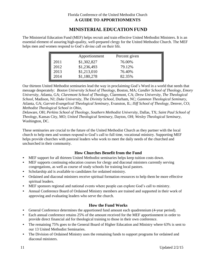# **MINISTERIAL EDUCATION FUND**

The Ministerial Education Fund (MEF) helps recruit and train effective United Methodist Ministers. It is an essential element of assuring high-quality, well-prepared clergy for the United Methodist Church. The MEF helps men and women respond to God's divine call on their life.

|      | Apportionment | Percent given |  |
|------|---------------|---------------|--|
| 2011 | \$1,302,827   | 76.00%        |  |
| 2012 | \$1,236,493   | 79.12%        |  |
| 2013 | \$1,213,010   | 76.40%        |  |
| 2014 | \$1,180,278   | 82.35%        |  |

Our thirteen United Methodist seminaries lead the way in proclaiming God's Word in a world that needs that message desperately: *Boston University School of Theology,* Boston, MA; *Candler School of Theology, Emory University,* Atlanta, GA; *Claremont School of Theology,* Claremont, CA; *Drew University, The Theological School,* Madison, NJ; *Duke University, The Divinity School,* Durham, NC; *Gammon Theological Seminary,*  Atlanta, GA; *Garrett-Evangelical Theological Seminary,* Evanston, IL; *Iliff School of Theology,* Denver, CO; *Methodist Theological School in Ohio,*

*D*elaware, OH; *Perkins School of Theology, Southern Methodist University,* Dallas, TX; *Saint Paul School of Theology,* Kansas City, MO; *United Theological Seminary,* Dayton, OH; *Wesley Theological Seminary,* Washington, DC.

These seminaries are crucial to the future of the United Methodist Church as they partner with the local church to help men and women respond to God's call to full time, vocational ministry. Supporting MEF helps provide churches with pastoral leaders who work to meet the daily needs of the churched and unchurched in their community.

#### **How Churches Benefit from the Fund**

- MEF support for all thirteen United Methodist seminaries helps keep tuition costs down.
- MEF supports continuing education courses for clergy and diaconal ministers currently serving congregations, as well as course of study schools for training local pastors.
- Scholarship aid is available to candidates for ordained ministry.
- Ordained and diaconal ministers receive spiritual formation resources to help them be more effective spiritual leaders.
- MEF sponsors regional and national events where people can explore God's call to ministry.
- Annual Conference Board of Ordained Ministry members are trained and supported in their work of approving and evaluating leaders who serve the church.

#### **How the Fund Works**

- General Conference determines the apportioned fund amount each quadrennium (4-year period).
- Each annual conference retains 25% of the amount received for the MEF apportionment in order to provide direct financial aid for theological training to those in their own conference.
- The remaining 75% goes to the General Board of Higher Education and Ministry where 63% is sent to our 13 United Methodist Seminaries.
- The Division of Ordained Ministry uses the remaining funds to support programs for ordained and diaconal ministers.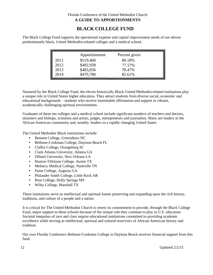# **BLACK COLLEGE FUND**

The Black College Fund supports the operational expense and capital improvement needs of our eleven predominantly black, United Methodist-related colleges and a medical school.

|      | Apportionment | Percent given |  |
|------|---------------|---------------|--|
| 2011 | \$519,460     | 80.18%        |  |
| 2012 | \$492,938     | 77.57%        |  |
| 2013 | \$483,836     | 78.47%        |  |
| 2014 | \$470,780     | 82.61%        |  |

Nurtured by the Black College Fund, the eleven historically Black United Methodist-related institutions play a unique role in United States higher education. They attract students from diverse social, economic and educational backgrounds – students who receive inestimable affirmation and support in vibrant, academically challenging spiritual environments.

Graduates of these ten colleges and a medical school include significant numbers of teachers and doctors, ministers and bishops, scientists and artists, judges, entrepreneurs and journalists. Many are leaders in the African-American community and, notably, leaders in a rapidly changing United States.

The United Methodist Black institutions include:

- Bennett College, Greensboro NC
- Bethune-Cookman College, Daytona Beach FL
- Claflin College, Orangeburg SC
- Clark Atlanta University, Atlanta GA
- Dillard University, New Orleans LA
- Huston-Tillotson College, Austin TX
- Meharry Medical College, Nashville TN
- Paine College, Augusta GA
- Philander Smith College, Little Rock AR
- Rust College, Holly Springs MS
- Wiley College, Marshall TX

These institutions serve as intellectual and spiritual founts preserving and expanding upon the rich history, traditions, and culture of a people and a nation.

It is critical for The United Methodist Church to renew its commitment to provide, through the Black College Fund, major support to these schools because of the unique role they continue to play in U.S. education. Societal inequities of race and class require educational institutions committed to providing academic excellence while serving as intellectual, spiritual and cultural reservoirs of African-American history and tradition.

Our own Florida Conference Bethune-Cookman College in Daytona Beach receives financial support from this fund.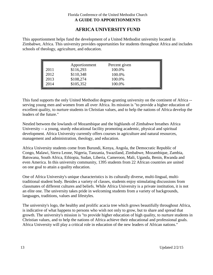# **AFRICA UNIVERSITY FUND**

This apportionment helps fund the development of a United Methodist university located in Zimbabwe, Africa. This university provides opportunities for students throughout Africa and includes schools of theology, agriculture, and education.

|      | Apportionment | Percent given |  |
|------|---------------|---------------|--|
| 2011 | \$116,293     | 100.0%        |  |
| 2012 | \$110,348     | 100.0%        |  |
| 2013 | \$108,274     | 100.0%        |  |
| 2014 | \$105,352     | 100.0%        |  |

This fund supports the only United Methodist degree-granting university on the continent of Africa - serving young men and women from all over Africa. Its mission is "to provide a higher education of excellent quality, to nurture students in Christian values, and to help the nations of Africa develop the leaders of the future."

Nestled between the lowlands of Mozambique and the highlands of Zimbabwe breathes Africa University -- a young, sturdy educational facility promoting academic, physical and spiritual development. Africa University currently offers courses in agriculture and natural resources, management and administration, theology, and education.

Africa University students come from Burundi, Kenya, Angola, the Democratic Republic of Congo, Malawi, Sierra Leone, Nigeria, Tanzania, Swaziland, Zimbabwe, Mozambique, Zambia, Batswana, South Africa, Ethiopia, Sudan, Liberia, Cameroon, Mali, Uganda, Benin, Rwanda and even America. In this university community, 1395 students from 22 African countries are united on one goal to attain a quality education.

One of Africa University's unique characteristics is its culturally diverse, multi-lingual, multitraditional student body. Besides a variety of classes, students enjoy stimulating discussions from classmates of different cultures and beliefs. While Africa University is a private institution, it is not an elite one. The university takes pride in welcoming students from a variety of backgrounds, languages, traditions, values and lifestyles.

The university's logo, the healthy and prolific acacia tree which grows beautifully throughout Africa, is indicative of what happens to persons who wish not only to grow, but to share and spread that growth. The university's mission is "to provide higher education of high quality, to nurture students in Christian values, and to help the nations of Africa achieve their educational and professional goals. Africa University will play a critical role in education of the new leaders of African nations."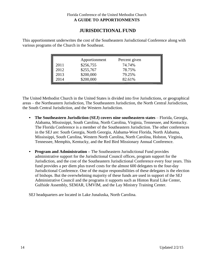# **JURISDICTIONALFUND**

This apportionment underwrites the cost of the Southeastern Jurisdictional Conference along with various programs of the Church in the Southeast.

|      | Apportionment | Percent given |  |
|------|---------------|---------------|--|
| 2011 | \$256,755     | 74.74%        |  |
| 2012 | \$255,767     | 78.75%        |  |
| 2013 | \$200,000     | 79.25%        |  |
| 2014 | \$200,000     | 82.61%        |  |

The United Methodist Church in the United States is divided into five Jurisdictions, or geographical areas – the Northeastern Jurisdiction, The Southeastern Jurisdiction, the North Central Jurisdiction, the South Central Jurisdiction, and the Western Jurisdiction.

- **The Southeastern Jurisdiction (SEJ) covers nine southeastern states** Florida, Georgia, Alabama, Mississippi, South Carolina, North Carolina, Virginia, Tennessee, and Kentucky. The Florida Conference is a member of the Southeastern Jurisdiction. The other conferences in the SEJ are: South Georgia, North Georgia, Alabama-West Florida, North Alabama, Mississippi, South Carolina, Western North Carolina, North Carolina, Holston, Virginia, Tennessee, Memphis, Kentucky, and the Red Bird Missionary Annual Conference.
- **Program and Administration –** The Southeastern Jurisdictional Fund provides administrative support for the Jurisdictional Council offices, program support for the Jurisdiction, and the cost of the Southeastern Jurisdictional Conference every four years. This fund provides a per diem plus travel costs for the almost 600 delegates to the four-day Jurisdictional Conference. One of the major responsibilities of these delegates is the election of bishops. But the overwhelming majority of these funds are used in support of the SEJ Administrative Council and the programs it supports such as Hinton Rural Like Center, Gulfside Assembly, SEMAR, UMVIM, and the Lay Ministry Training Center.

SEJ headquarters are located in Lake Junaluska, North Carolina.